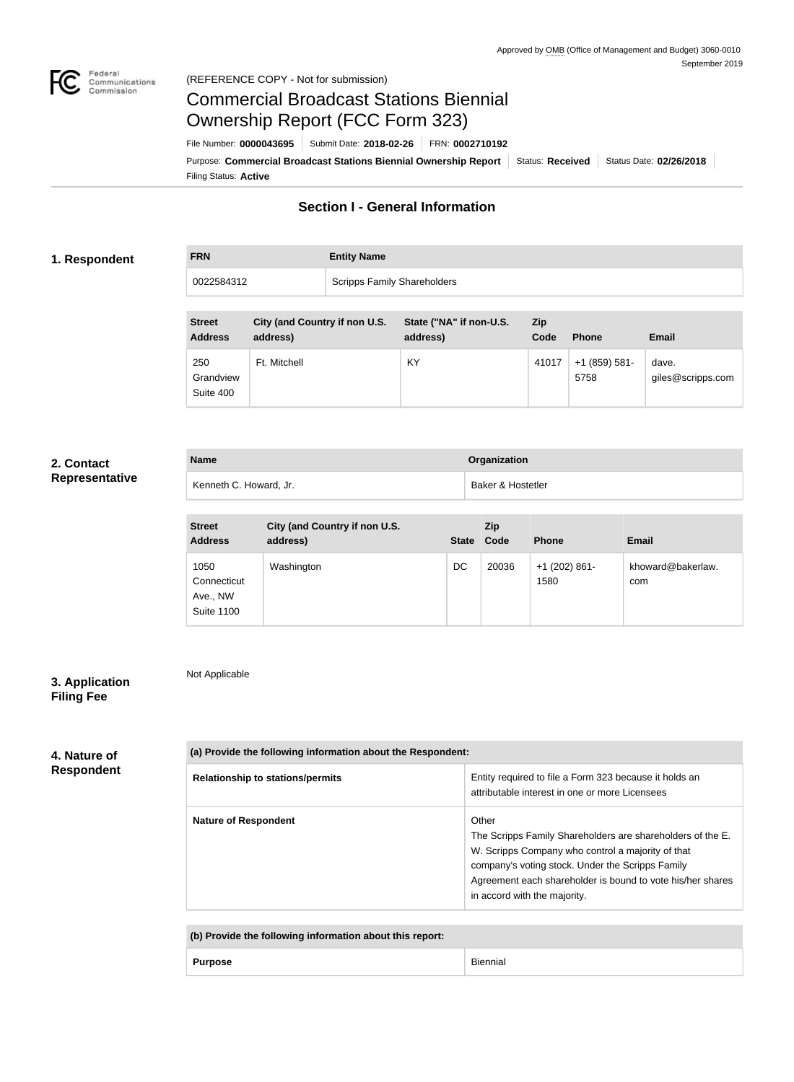

Not Applicable

# Commercial Broadcast Stations Biennial Ownership Report (FCC Form 323)

Filing Status: **Active** Purpose: Commercial Broadcast Stations Biennial Ownership Report Status: Received Status Date: 02/26/2018 File Number: **0000043695** Submit Date: **2018-02-26** FRN: **0002710192**

## **Section I - General Information**

#### **1. Respondent**

**FRN Entity Name**

0022584312 Scripps Family Shareholders

| <b>Street</b><br><b>Address</b> | City (and Country if non U.S.<br>address) | State ("NA" if non-U.S.<br>address) | Zip<br>Code | <b>Phone</b>          | <b>Email</b>               |
|---------------------------------|-------------------------------------------|-------------------------------------|-------------|-----------------------|----------------------------|
| 250<br>Grandview<br>Suite 400   | Ft. Mitchell                              | KY                                  | 41017       | +1 (859) 581-<br>5758 | dave.<br>giles@scripps.com |

### **2. Contact Representative**

| <b>Name</b>            | Organization      |
|------------------------|-------------------|
| Kenneth C. Howard, Jr. | Baker & Hostetler |

| <b>Street</b><br><b>Address</b>                      | City (and Country if non U.S.<br>address) | <b>State</b> | <b>Zip</b><br>Code | <b>Phone</b>            | <b>Email</b>             |
|------------------------------------------------------|-------------------------------------------|--------------|--------------------|-------------------------|--------------------------|
| 1050<br>Connecticut<br>Ave., NW<br><b>Suite 1100</b> | Washington                                | DC           | 20036              | $+1$ (202) 861-<br>1580 | khoward@bakerlaw.<br>com |

### **3. Application Filing Fee**

#### **4. Nature of Respondent**

| (a) Provide the following information about the Respondent: |                                                                                                                                                                                                                                                                            |  |
|-------------------------------------------------------------|----------------------------------------------------------------------------------------------------------------------------------------------------------------------------------------------------------------------------------------------------------------------------|--|
| <b>Relationship to stations/permits</b>                     | Entity required to file a Form 323 because it holds an<br>attributable interest in one or more Licensees                                                                                                                                                                   |  |
| <b>Nature of Respondent</b>                                 | Other<br>The Scripps Family Shareholders are shareholders of the E.<br>W. Scripps Company who control a majority of that<br>company's voting stock. Under the Scripps Family<br>Agreement each shareholder is bound to vote his/her shares<br>in accord with the majority. |  |

**(b) Provide the following information about this report:**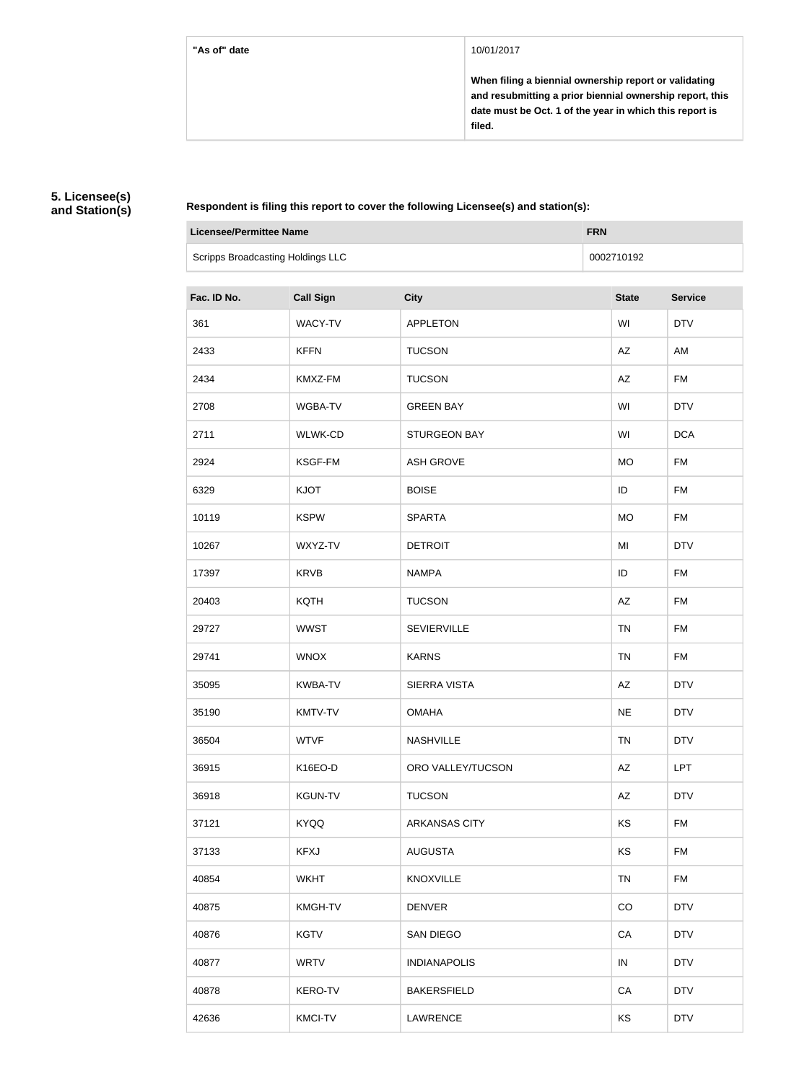#### **"As of" date** 10/01/2017

**When filing a biennial ownership report or validating and resubmitting a prior biennial ownership report, this date must be Oct. 1 of the year in which this report is filed.**

#### **5. Licensee(s) and Station(s)**

**Respondent is filing this report to cover the following Licensee(s) and station(s):**

| <b>Licensee/Permittee Name</b>    |                  |                      | <b>FRN</b> |              |                |
|-----------------------------------|------------------|----------------------|------------|--------------|----------------|
| Scripps Broadcasting Holdings LLC |                  |                      |            | 0002710192   |                |
| Fac. ID No.                       | <b>Call Sign</b> | <b>City</b>          |            | <b>State</b> | <b>Service</b> |
| 361                               | WACY-TV          | <b>APPLETON</b>      |            | WI           | <b>DTV</b>     |
| 2433                              | <b>KFFN</b>      | <b>TUCSON</b>        |            | AZ           | AM             |
| 2434                              | KMXZ-FM          | <b>TUCSON</b>        |            | AZ           | <b>FM</b>      |
| 2708                              | WGBA-TV          | <b>GREEN BAY</b>     |            | WI           | <b>DTV</b>     |
| 2711                              | WLWK-CD          | <b>STURGEON BAY</b>  |            | WI           | <b>DCA</b>     |
| 2924                              | KSGF-FM          | <b>ASH GROVE</b>     |            | <b>MO</b>    | <b>FM</b>      |
| 6329                              | <b>KJOT</b>      | <b>BOISE</b>         |            | ID           | <b>FM</b>      |
| 10119                             | <b>KSPW</b>      | <b>SPARTA</b>        |            | <b>MO</b>    | <b>FM</b>      |
| 10267                             | WXYZ-TV          | <b>DETROIT</b>       |            | MI           | <b>DTV</b>     |
| 17397                             | <b>KRVB</b>      | <b>NAMPA</b>         |            | ID           | <b>FM</b>      |
| 20403                             | <b>KQTH</b>      | <b>TUCSON</b>        |            | AZ           | <b>FM</b>      |
| 29727                             | <b>WWST</b>      | <b>SEVIERVILLE</b>   |            | <b>TN</b>    | <b>FM</b>      |
| 29741                             | <b>WNOX</b>      | <b>KARNS</b>         |            | <b>TN</b>    | <b>FM</b>      |
| 35095                             | KWBA-TV          | <b>SIERRA VISTA</b>  |            | AZ           | <b>DTV</b>     |
| 35190                             | KMTV-TV          | <b>OMAHA</b>         |            | <b>NE</b>    | <b>DTV</b>     |
| 36504                             | <b>WTVF</b>      | <b>NASHVILLE</b>     |            | <b>TN</b>    | <b>DTV</b>     |
| 36915                             | K16EO-D          | ORO VALLEY/TUCSON    |            | AZ           | <b>LPT</b>     |
| 36918                             | <b>KGUN-TV</b>   | <b>TUCSON</b>        |            | AZ           | <b>DTV</b>     |
| 37121                             | <b>KYQQ</b>      | <b>ARKANSAS CITY</b> |            | KS           | FM             |
| 37133                             | <b>KFXJ</b>      | <b>AUGUSTA</b>       |            | <b>KS</b>    | <b>FM</b>      |
| 40854                             | <b>WKHT</b>      | <b>KNOXVILLE</b>     |            | TN           | FM             |
| 40875                             | <b>KMGH-TV</b>   | <b>DENVER</b>        |            | CO           | <b>DTV</b>     |
| 40876                             | <b>KGTV</b>      | <b>SAN DIEGO</b>     |            | CA           | <b>DTV</b>     |
| 40877                             | <b>WRTV</b>      | <b>INDIANAPOLIS</b>  |            | IN           | <b>DTV</b>     |
| 40878                             | <b>KERO-TV</b>   | <b>BAKERSFIELD</b>   |            | CA           | <b>DTV</b>     |
| 42636                             | <b>KMCI-TV</b>   | <b>LAWRENCE</b>      |            | <b>KS</b>    | <b>DTV</b>     |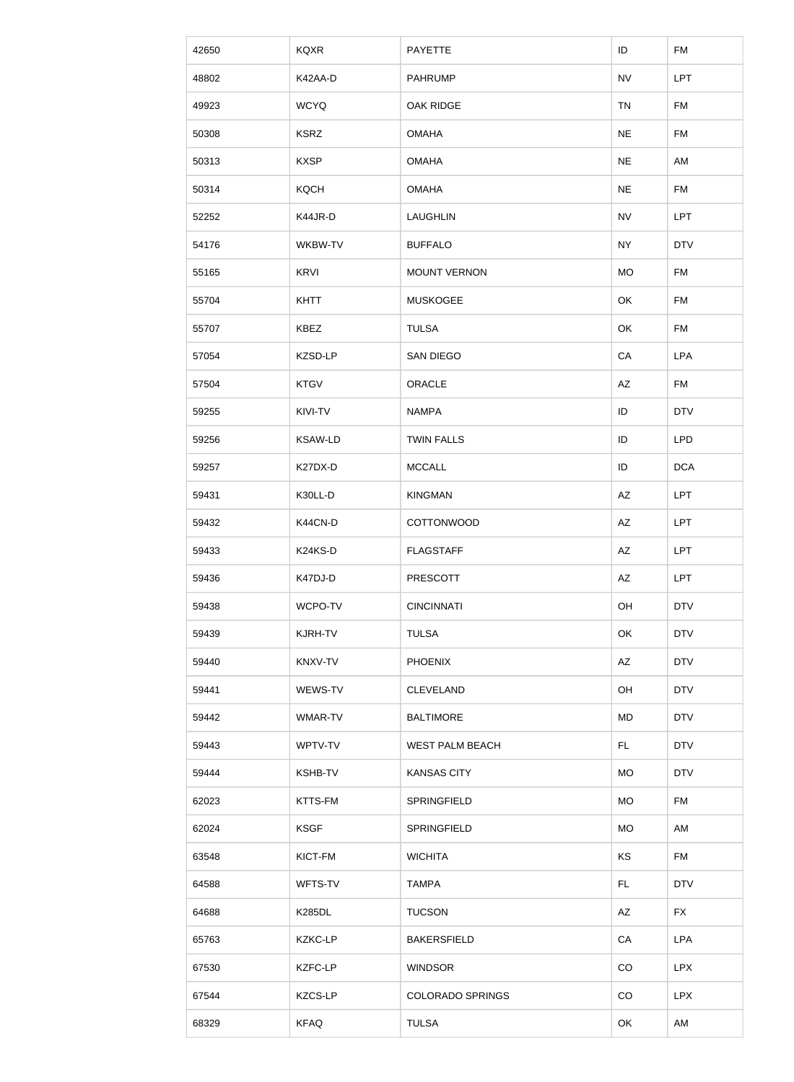| 42650 | <b>KQXR</b>    | <b>PAYETTE</b>          | ID        | <b>FM</b>  |
|-------|----------------|-------------------------|-----------|------------|
| 48802 | K42AA-D        | <b>PAHRUMP</b>          | <b>NV</b> | <b>LPT</b> |
| 49923 | <b>WCYQ</b>    | OAK RIDGE               | <b>TN</b> | <b>FM</b>  |
| 50308 | <b>KSRZ</b>    | <b>OMAHA</b>            | <b>NE</b> | <b>FM</b>  |
| 50313 | <b>KXSP</b>    | <b>OMAHA</b>            | <b>NE</b> | AM         |
| 50314 | <b>KQCH</b>    | <b>OMAHA</b>            | <b>NE</b> | FM         |
| 52252 | K44JR-D        | <b>LAUGHLIN</b>         | <b>NV</b> | <b>LPT</b> |
| 54176 | WKBW-TV        | <b>BUFFALO</b>          | <b>NY</b> | <b>DTV</b> |
| 55165 | <b>KRVI</b>    | <b>MOUNT VERNON</b>     | <b>MO</b> | <b>FM</b>  |
| 55704 | <b>KHTT</b>    | <b>MUSKOGEE</b>         | OK        | <b>FM</b>  |
| 55707 | <b>KBEZ</b>    | <b>TULSA</b>            | OK        | FM         |
| 57054 | KZSD-LP        | SAN DIEGO               | CA        | <b>LPA</b> |
| 57504 | <b>KTGV</b>    | ORACLE                  | AZ        | <b>FM</b>  |
| 59255 | KIVI-TV        | <b>NAMPA</b>            | ID        | <b>DTV</b> |
| 59256 | <b>KSAW-LD</b> | <b>TWIN FALLS</b>       | ID        | <b>LPD</b> |
| 59257 | K27DX-D        | <b>MCCALL</b>           | ID        | <b>DCA</b> |
| 59431 | K30LL-D        | <b>KINGMAN</b>          | AZ        | <b>LPT</b> |
| 59432 | K44CN-D        | COTTONWOOD              | AZ        | <b>LPT</b> |
| 59433 | K24KS-D        | <b>FLAGSTAFF</b>        | AZ        | <b>LPT</b> |
| 59436 | K47DJ-D        | <b>PRESCOTT</b>         | AZ        | <b>LPT</b> |
| 59438 | WCPO-TV        | <b>CINCINNATI</b>       | OH        | <b>DTV</b> |
| 59439 | KJRH-TV        | <b>TULSA</b>            | OK        | <b>DTV</b> |
| 59440 | KNXV-TV        | <b>PHOENIX</b>          | AZ        | <b>DTV</b> |
| 59441 | WEWS-TV        | <b>CLEVELAND</b>        | OH        | <b>DTV</b> |
| 59442 | WMAR-TV        | <b>BALTIMORE</b>        | MD        | <b>DTV</b> |
| 59443 | WPTV-TV        | <b>WEST PALM BEACH</b>  | FL.       | <b>DTV</b> |
| 59444 | <b>KSHB-TV</b> | <b>KANSAS CITY</b>      | <b>MO</b> | <b>DTV</b> |
| 62023 | KTTS-FM        | SPRINGFIELD             | <b>MO</b> | <b>FM</b>  |
| 62024 | <b>KSGF</b>    | SPRINGFIELD             | <b>MO</b> | AM         |
| 63548 | KICT-FM        | <b>WICHITA</b>          | KS        | <b>FM</b>  |
| 64588 | WFTS-TV        | <b>TAMPA</b>            | FL.       | <b>DTV</b> |
| 64688 | <b>K285DL</b>  | <b>TUCSON</b>           | AZ        | <b>FX</b>  |
| 65763 | <b>KZKC-LP</b> | <b>BAKERSFIELD</b>      | CA        | LPA        |
| 67530 | <b>KZFC-LP</b> | <b>WINDSOR</b>          | CO        | <b>LPX</b> |
| 67544 | KZCS-LP        | <b>COLORADO SPRINGS</b> | CO        | <b>LPX</b> |
| 68329 | <b>KFAQ</b>    | <b>TULSA</b>            | OK        | AM         |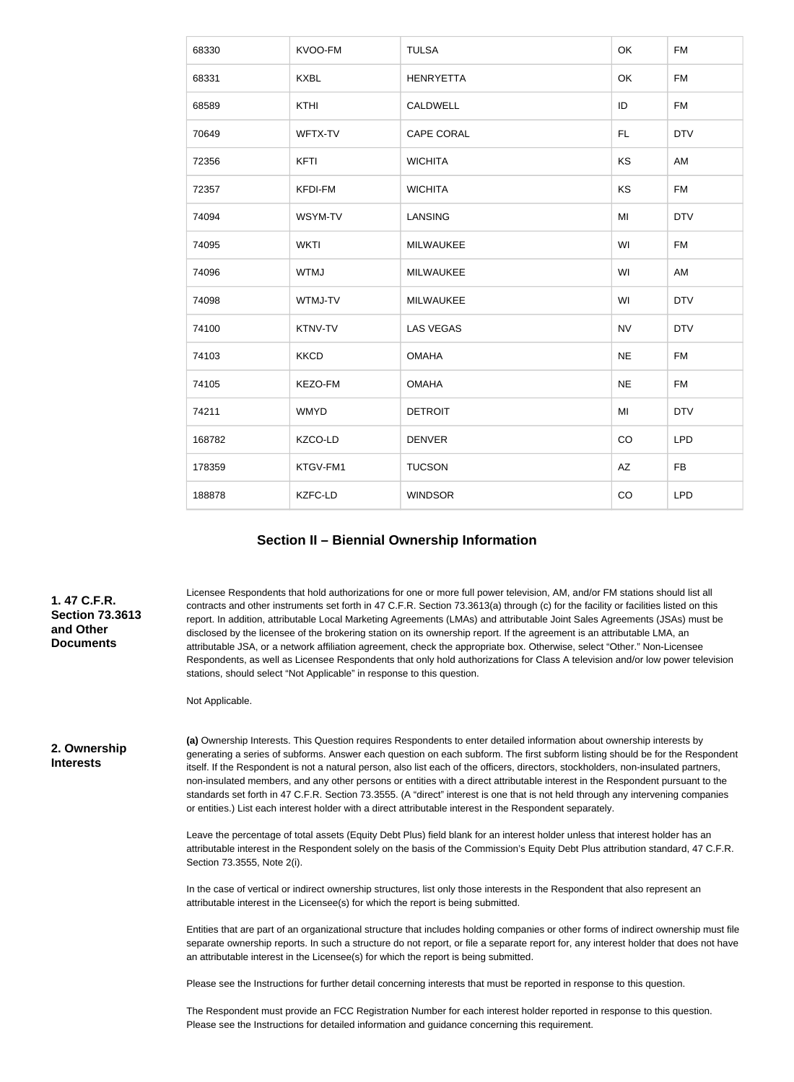| 68330  | KVOO-FM        | <b>TULSA</b>      | OK        | <b>FM</b>  |
|--------|----------------|-------------------|-----------|------------|
| 68331  | <b>KXBL</b>    | <b>HENRYETTA</b>  | OK        | <b>FM</b>  |
| 68589  | <b>KTHI</b>    | CALDWELL          | ID        | <b>FM</b>  |
| 70649  | WFTX-TV        | <b>CAPE CORAL</b> | FL.       | <b>DTV</b> |
| 72356  | <b>KFTI</b>    | <b>WICHITA</b>    | KS        | AM         |
| 72357  | <b>KFDI-FM</b> | <b>WICHITA</b>    | KS        | <b>FM</b>  |
| 74094  | WSYM-TV        | <b>LANSING</b>    | MI        | <b>DTV</b> |
| 74095  | <b>WKTI</b>    | MILWAUKEE         | WI        | <b>FM</b>  |
| 74096  | <b>WTMJ</b>    | <b>MILWAUKEE</b>  | WI        | AM         |
| 74098  | WTMJ-TV        | <b>MILWAUKEE</b>  | WI        | <b>DTV</b> |
| 74100  | KTNV-TV        | <b>LAS VEGAS</b>  | <b>NV</b> | <b>DTV</b> |
| 74103  | <b>KKCD</b>    | <b>OMAHA</b>      | <b>NE</b> | <b>FM</b>  |
| 74105  | KEZO-FM        | <b>OMAHA</b>      | <b>NE</b> | <b>FM</b>  |
| 74211  | <b>WMYD</b>    | <b>DETROIT</b>    | MI        | <b>DTV</b> |
| 168782 | KZCO-LD        | <b>DENVER</b>     | CO        | <b>LPD</b> |
| 178359 | KTGV-FM1       | <b>TUCSON</b>     | AZ        | <b>FB</b>  |
| 188878 | KZFC-LD        | <b>WINDSOR</b>    | CO        | <b>LPD</b> |

#### **Section II – Biennial Ownership Information**

**1. 47 C.F.R. Section 73.3613 and Other Documents**

Licensee Respondents that hold authorizations for one or more full power television, AM, and/or FM stations should list all contracts and other instruments set forth in 47 C.F.R. Section 73.3613(a) through (c) for the facility or facilities listed on this report. In addition, attributable Local Marketing Agreements (LMAs) and attributable Joint Sales Agreements (JSAs) must be disclosed by the licensee of the brokering station on its ownership report. If the agreement is an attributable LMA, an attributable JSA, or a network affiliation agreement, check the appropriate box. Otherwise, select "Other." Non-Licensee Respondents, as well as Licensee Respondents that only hold authorizations for Class A television and/or low power television stations, should select "Not Applicable" in response to this question.

Not Applicable.

**2. Ownership Interests**

**(a)** Ownership Interests. This Question requires Respondents to enter detailed information about ownership interests by generating a series of subforms. Answer each question on each subform. The first subform listing should be for the Respondent itself. If the Respondent is not a natural person, also list each of the officers, directors, stockholders, non-insulated partners, non-insulated members, and any other persons or entities with a direct attributable interest in the Respondent pursuant to the standards set forth in 47 C.F.R. Section 73.3555. (A "direct" interest is one that is not held through any intervening companies or entities.) List each interest holder with a direct attributable interest in the Respondent separately.

Leave the percentage of total assets (Equity Debt Plus) field blank for an interest holder unless that interest holder has an attributable interest in the Respondent solely on the basis of the Commission's Equity Debt Plus attribution standard, 47 C.F.R. Section 73.3555, Note 2(i).

In the case of vertical or indirect ownership structures, list only those interests in the Respondent that also represent an attributable interest in the Licensee(s) for which the report is being submitted.

Entities that are part of an organizational structure that includes holding companies or other forms of indirect ownership must file separate ownership reports. In such a structure do not report, or file a separate report for, any interest holder that does not have an attributable interest in the Licensee(s) for which the report is being submitted.

Please see the Instructions for further detail concerning interests that must be reported in response to this question.

The Respondent must provide an FCC Registration Number for each interest holder reported in response to this question. Please see the Instructions for detailed information and guidance concerning this requirement.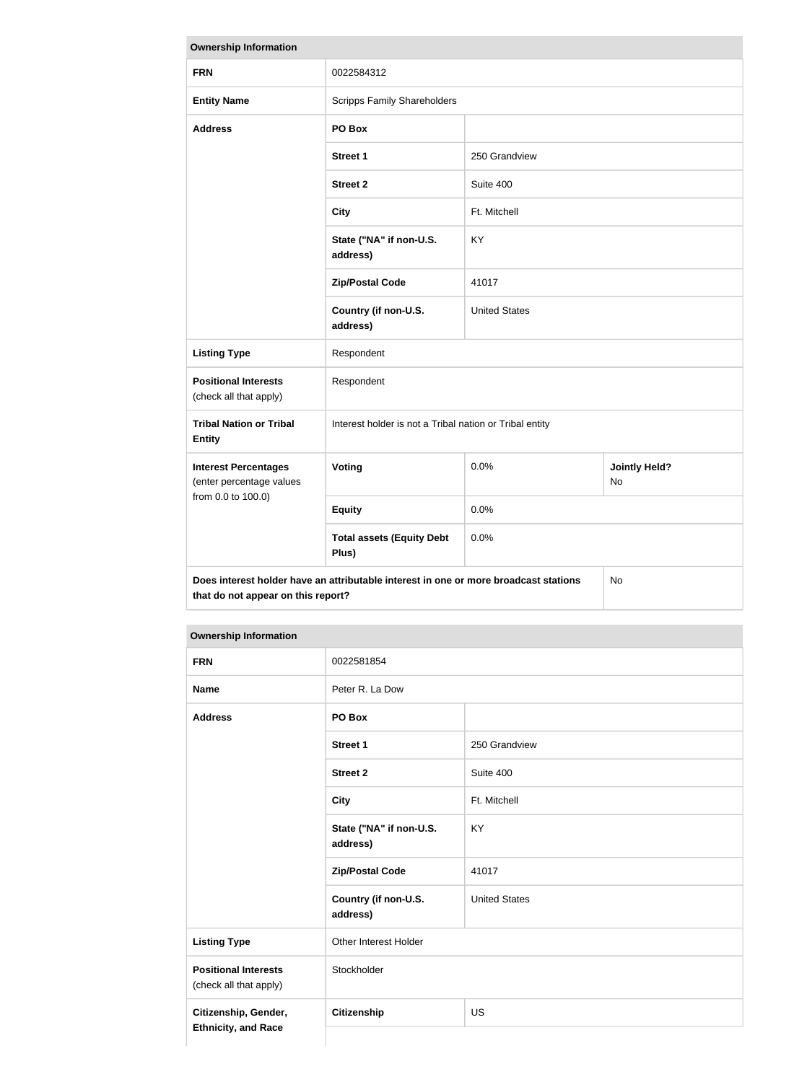| <b>Ownership Information</b>                                                                                                     |                                                         |                      |                            |
|----------------------------------------------------------------------------------------------------------------------------------|---------------------------------------------------------|----------------------|----------------------------|
| <b>FRN</b>                                                                                                                       | 0022584312                                              |                      |                            |
| <b>Entity Name</b>                                                                                                               | <b>Scripps Family Shareholders</b>                      |                      |                            |
| <b>Address</b>                                                                                                                   | PO Box                                                  |                      |                            |
|                                                                                                                                  | <b>Street 1</b>                                         | 250 Grandview        |                            |
|                                                                                                                                  | <b>Street 2</b>                                         | Suite 400            |                            |
|                                                                                                                                  | <b>City</b>                                             | Ft. Mitchell         |                            |
|                                                                                                                                  | State ("NA" if non-U.S.<br>address)                     | KY                   |                            |
|                                                                                                                                  | <b>Zip/Postal Code</b>                                  | 41017                |                            |
|                                                                                                                                  | Country (if non-U.S.<br>address)                        | <b>United States</b> |                            |
| <b>Listing Type</b>                                                                                                              | Respondent                                              |                      |                            |
| <b>Positional Interests</b><br>(check all that apply)                                                                            | Respondent                                              |                      |                            |
| <b>Tribal Nation or Tribal</b><br><b>Entity</b>                                                                                  | Interest holder is not a Tribal nation or Tribal entity |                      |                            |
| <b>Interest Percentages</b><br>(enter percentage values                                                                          | Voting                                                  | 0.0%                 | <b>Jointly Held?</b><br>No |
| from 0.0 to 100.0)                                                                                                               | <b>Equity</b>                                           | 0.0%                 |                            |
|                                                                                                                                  | <b>Total assets (Equity Debt</b><br>Plus)               | 0.0%                 |                            |
| Does interest holder have an attributable interest in one or more broadcast stations<br>No<br>that do not appear on this report? |                                                         |                      |                            |

| <b>FRN</b>                                            | 0022581854                          |                      |
|-------------------------------------------------------|-------------------------------------|----------------------|
| <b>Name</b>                                           | Peter R. La Dow                     |                      |
| <b>Address</b>                                        | PO Box                              |                      |
|                                                       | <b>Street 1</b>                     | 250 Grandview        |
|                                                       | <b>Street 2</b>                     | Suite 400            |
|                                                       | <b>City</b>                         | Ft. Mitchell         |
|                                                       | State ("NA" if non-U.S.<br>address) | <b>KY</b>            |
|                                                       | <b>Zip/Postal Code</b>              | 41017                |
|                                                       | Country (if non-U.S.<br>address)    | <b>United States</b> |
| <b>Listing Type</b>                                   | Other Interest Holder               |                      |
| <b>Positional Interests</b><br>(check all that apply) | Stockholder                         |                      |
| Citizenship, Gender,                                  | Citizenship                         | US                   |
| <b>Ethnicity, and Race</b>                            |                                     |                      |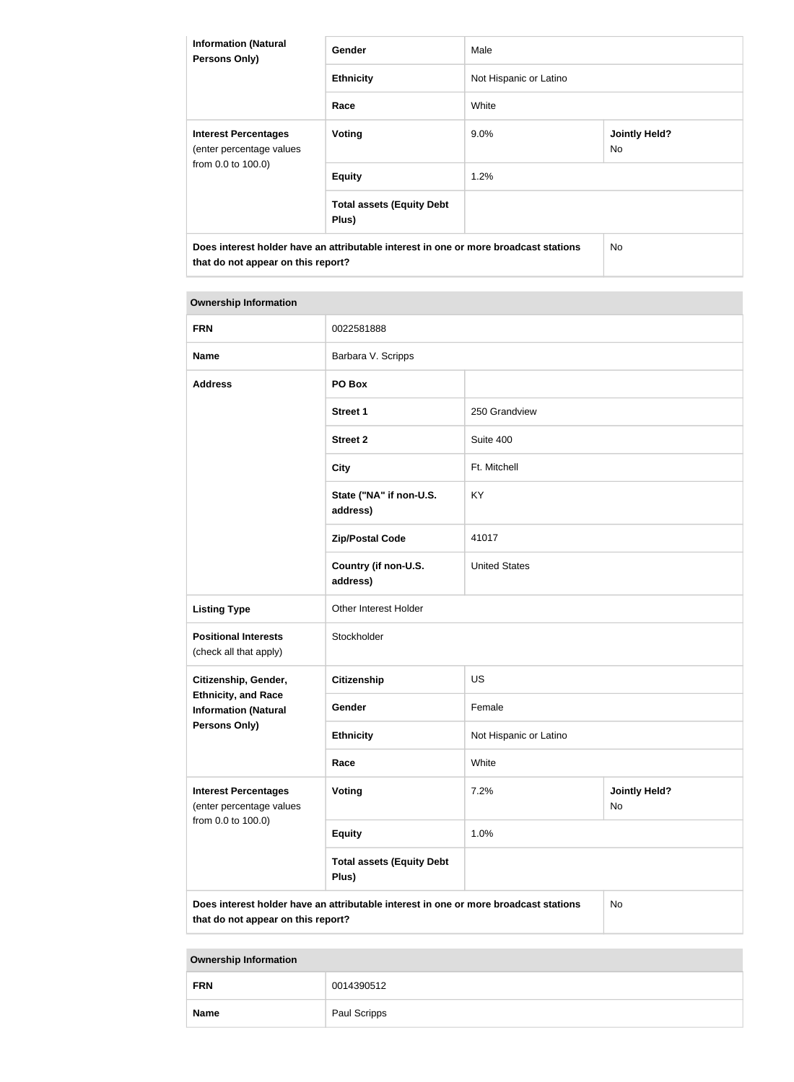| <b>Information (Natural</b><br><b>Persons Only)</b>                           | <b>Gender</b>                                                                        | Male                   |                             |  |
|-------------------------------------------------------------------------------|--------------------------------------------------------------------------------------|------------------------|-----------------------------|--|
|                                                                               | <b>Ethnicity</b>                                                                     | Not Hispanic or Latino |                             |  |
|                                                                               | Race                                                                                 | White                  |                             |  |
| <b>Interest Percentages</b><br>(enter percentage values<br>from 0.0 to 100.0) | Voting                                                                               | $9.0\%$                | <b>Jointly Held?</b><br>No. |  |
|                                                                               | <b>Equity</b>                                                                        | 1.2%                   |                             |  |
|                                                                               | <b>Total assets (Equity Debt</b><br>Plus)                                            |                        |                             |  |
| that do not appear on this report?                                            | Does interest holder have an attributable interest in one or more broadcast stations |                        | No.                         |  |

## **Ownership Information FRN** 0022581888 **Name** Barbara V. Scripps **Address PO Box Street 1** 250 Grandview **Street 2** Suite 400 **City Ft. Mitchell State ("NA" if non-U.S. address)** KY **Zip/Postal Code** 41017 **Country (if non-U.S. address)** United States **Listing Type Other Interest Holder Positional Interests** (check all that apply) Stockholder **Citizenship, Gender, Ethnicity, and Race Information (Natural Persons Only) Citizenship** US **Gender** Female **Ethnicity** Not Hispanic or Latino **Race** White **Interest Percentages** (enter percentage values from 0.0 to 100.0) **Voting** 7.2% **Jointly Held?** No **Equity** 1.0% **Total assets (Equity Debt Plus) Does interest holder have an attributable interest in one or more broadcast stations that do not appear on this report?** No

| <b>FRN</b>  | 0014390512   |
|-------------|--------------|
| <b>Name</b> | Paul Scripps |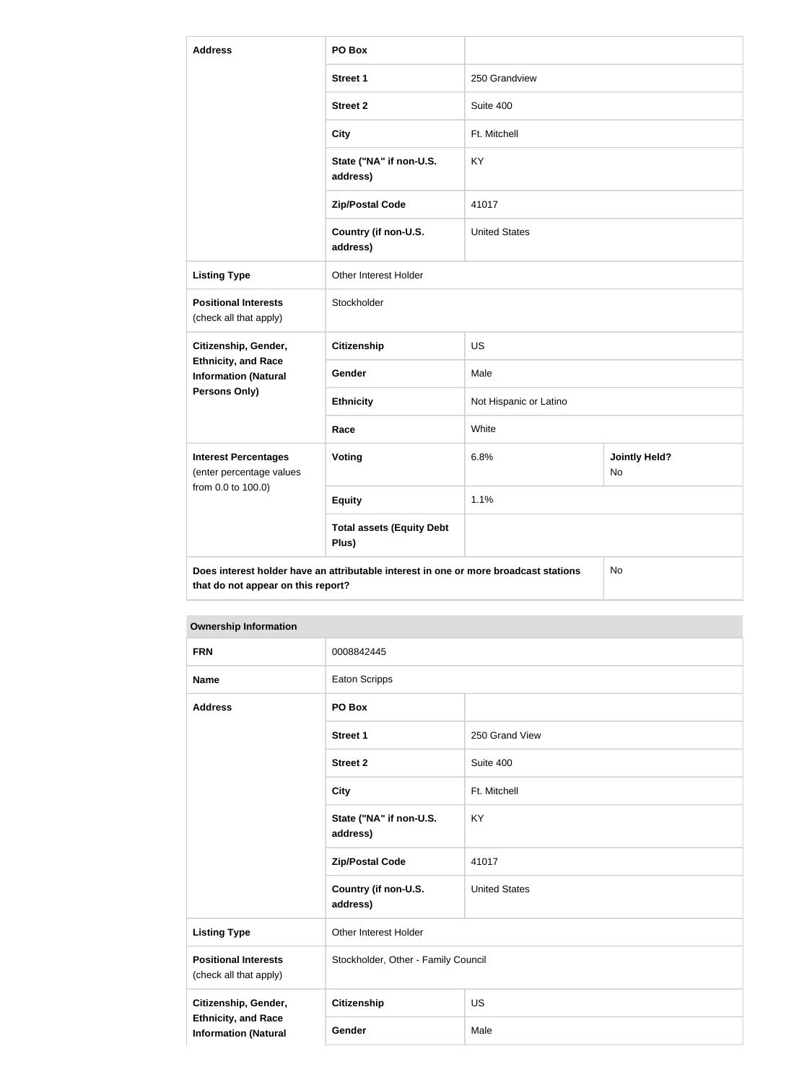| <b>Address</b>                                                                                                                   | PO Box                                    |                        |                            |
|----------------------------------------------------------------------------------------------------------------------------------|-------------------------------------------|------------------------|----------------------------|
|                                                                                                                                  | <b>Street 1</b>                           | 250 Grandview          |                            |
|                                                                                                                                  | <b>Street 2</b>                           | Suite 400              |                            |
|                                                                                                                                  | <b>City</b>                               | Ft. Mitchell           |                            |
|                                                                                                                                  | State ("NA" if non-U.S.<br>address)       | <b>KY</b>              |                            |
|                                                                                                                                  | <b>Zip/Postal Code</b>                    | 41017                  |                            |
|                                                                                                                                  | Country (if non-U.S.<br>address)          | <b>United States</b>   |                            |
| <b>Listing Type</b>                                                                                                              | Other Interest Holder                     |                        |                            |
| <b>Positional Interests</b><br>(check all that apply)                                                                            | Stockholder                               |                        |                            |
| Citizenship, Gender,                                                                                                             | <b>Citizenship</b>                        | <b>US</b>              |                            |
| <b>Ethnicity, and Race</b><br><b>Information (Natural</b>                                                                        | Gender                                    | Male                   |                            |
| <b>Persons Only)</b>                                                                                                             | <b>Ethnicity</b>                          | Not Hispanic or Latino |                            |
|                                                                                                                                  | Race                                      | White                  |                            |
| <b>Interest Percentages</b><br>(enter percentage values                                                                          | Voting                                    | 6.8%                   | <b>Jointly Held?</b><br>No |
| from 0.0 to 100.0)                                                                                                               | <b>Equity</b>                             | 1.1%                   |                            |
|                                                                                                                                  | <b>Total assets (Equity Debt</b><br>Plus) |                        |                            |
| Does interest holder have an attributable interest in one or more broadcast stations<br>No<br>that do not appear on this report? |                                           |                        |                            |

| <b>FRN</b>                                                                        | 0008842445                          |                      |
|-----------------------------------------------------------------------------------|-------------------------------------|----------------------|
| <b>Name</b>                                                                       | <b>Eaton Scripps</b>                |                      |
| <b>Address</b>                                                                    | PO Box                              |                      |
|                                                                                   | <b>Street 1</b>                     | 250 Grand View       |
|                                                                                   | <b>Street 2</b>                     | Suite 400            |
|                                                                                   | <b>City</b>                         | Ft. Mitchell         |
|                                                                                   | State ("NA" if non-U.S.<br>address) | KY                   |
|                                                                                   | <b>Zip/Postal Code</b>              | 41017                |
|                                                                                   | Country (if non-U.S.<br>address)    | <b>United States</b> |
| <b>Listing Type</b>                                                               | Other Interest Holder               |                      |
| <b>Positional Interests</b><br>(check all that apply)                             | Stockholder, Other - Family Council |                      |
| Citizenship, Gender,<br><b>Ethnicity, and Race</b><br><b>Information (Natural</b> | Citizenship                         | <b>US</b>            |
|                                                                                   | Gender                              | Male                 |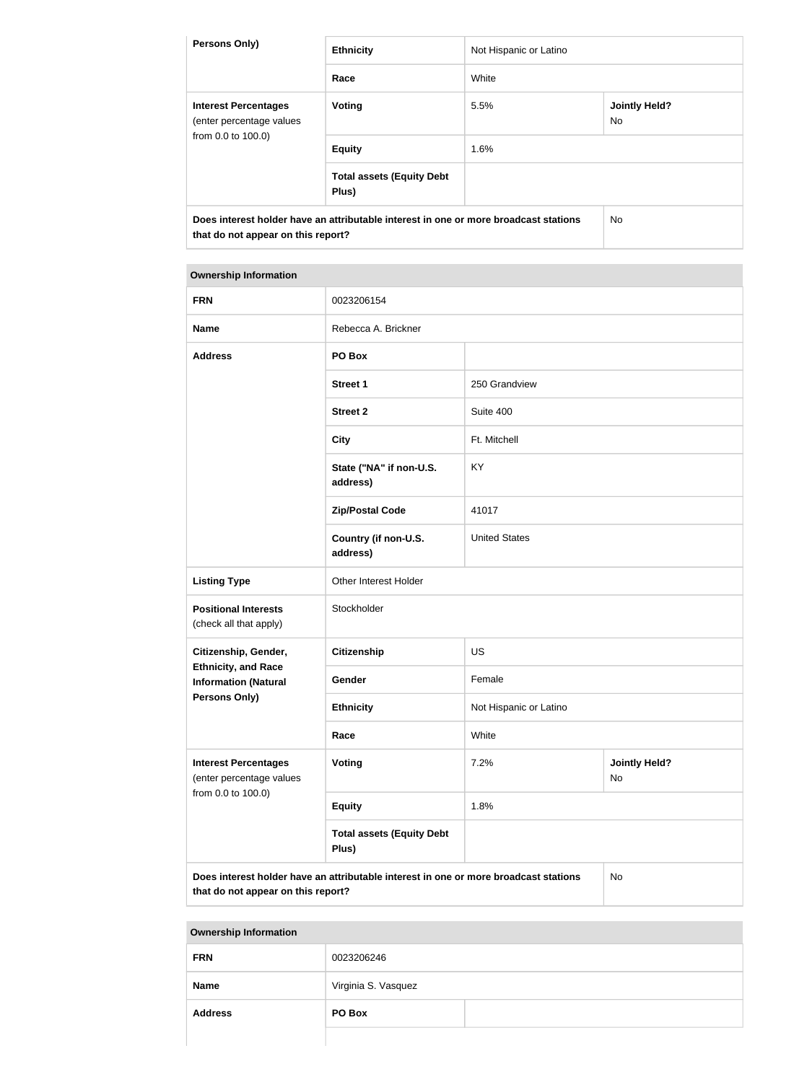| <b>Persons Only)</b>                                                                                                       | <b>Ethnicity</b>                          | Not Hispanic or Latino |                            |
|----------------------------------------------------------------------------------------------------------------------------|-------------------------------------------|------------------------|----------------------------|
|                                                                                                                            | Race                                      | White                  |                            |
| <b>Interest Percentages</b><br>(enter percentage values<br>from 0.0 to 100.0)                                              | Voting                                    | 5.5%                   | <b>Jointly Held?</b><br>No |
|                                                                                                                            | <b>Equity</b>                             | 1.6%                   |                            |
|                                                                                                                            | <b>Total assets (Equity Debt</b><br>Plus) |                        |                            |
| Does interest holder have an attributable interest in one or more broadcast stations<br>that do not appear on this report? |                                           | No.                    |                            |

| <b>FRN</b>                                                                                                                       | 0023206154                                |                                    |  |
|----------------------------------------------------------------------------------------------------------------------------------|-------------------------------------------|------------------------------------|--|
| <b>Name</b>                                                                                                                      | Rebecca A. Brickner                       |                                    |  |
| <b>Address</b>                                                                                                                   | PO Box                                    |                                    |  |
|                                                                                                                                  | <b>Street 1</b>                           | 250 Grandview                      |  |
|                                                                                                                                  | <b>Street 2</b>                           | Suite 400                          |  |
|                                                                                                                                  | <b>City</b>                               | Ft. Mitchell                       |  |
|                                                                                                                                  | State ("NA" if non-U.S.<br>address)       | KY                                 |  |
|                                                                                                                                  | <b>Zip/Postal Code</b>                    | 41017                              |  |
|                                                                                                                                  | Country (if non-U.S.<br>address)          | <b>United States</b>               |  |
| <b>Listing Type</b>                                                                                                              | Other Interest Holder                     |                                    |  |
| <b>Positional Interests</b><br>(check all that apply)                                                                            | Stockholder                               |                                    |  |
| Citizenship, Gender,                                                                                                             | <b>Citizenship</b>                        | <b>US</b>                          |  |
| <b>Ethnicity, and Race</b><br><b>Information (Natural</b>                                                                        | Gender                                    | Female                             |  |
| <b>Persons Only)</b>                                                                                                             | <b>Ethnicity</b>                          | Not Hispanic or Latino             |  |
|                                                                                                                                  | Race                                      | White                              |  |
| <b>Interest Percentages</b><br>(enter percentage values<br>from 0.0 to 100.0)                                                    | Voting                                    | 7.2%<br><b>Jointly Held?</b><br>No |  |
|                                                                                                                                  | <b>Equity</b>                             | 1.8%                               |  |
|                                                                                                                                  | <b>Total assets (Equity Debt</b><br>Plus) |                                    |  |
| Does interest holder have an attributable interest in one or more broadcast stations<br>No<br>that do not appear on this report? |                                           |                                    |  |

| <b>FRN</b>     | 0023206246          |  |  |
|----------------|---------------------|--|--|
| <b>Name</b>    | Virginia S. Vasquez |  |  |
| <b>Address</b> | PO Box              |  |  |
|                |                     |  |  |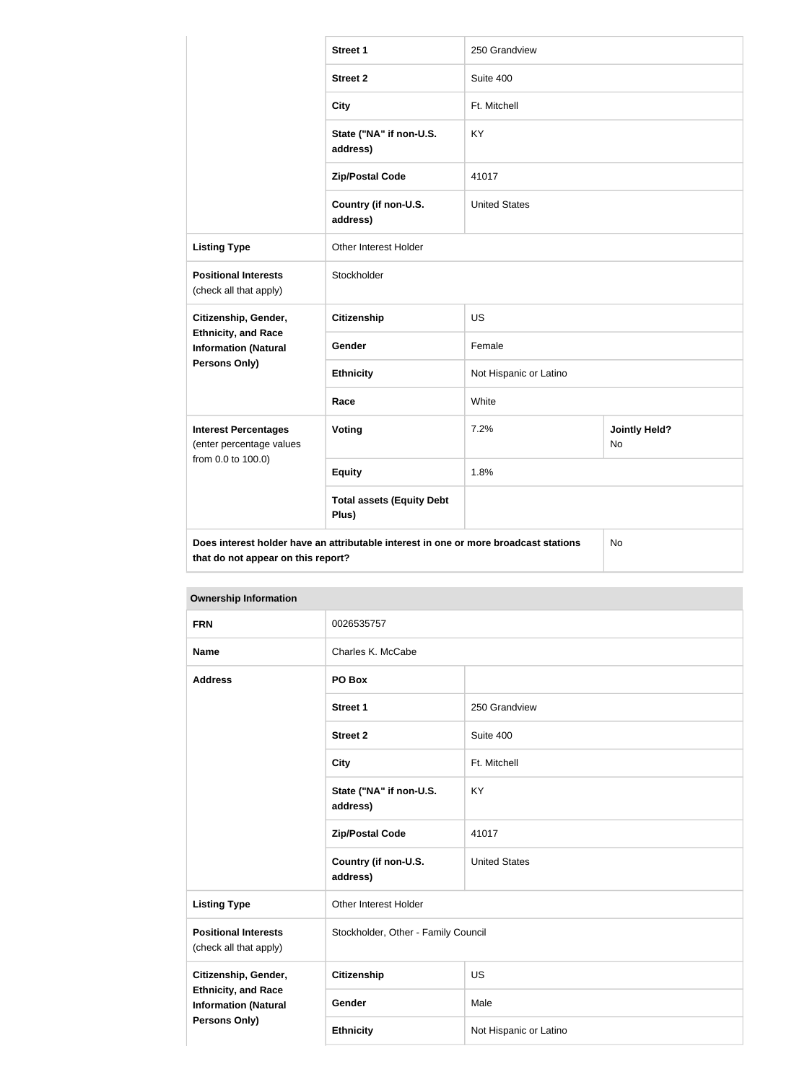|                                                           | <b>Street 1</b>                                                                      | 250 Grandview          |                            |
|-----------------------------------------------------------|--------------------------------------------------------------------------------------|------------------------|----------------------------|
|                                                           | <b>Street 2</b>                                                                      | Suite 400              |                            |
|                                                           | <b>City</b>                                                                          | Ft. Mitchell           |                            |
|                                                           | State ("NA" if non-U.S.<br>address)                                                  | <b>KY</b>              |                            |
|                                                           | <b>Zip/Postal Code</b>                                                               | 41017                  |                            |
|                                                           | Country (if non-U.S.<br>address)                                                     | <b>United States</b>   |                            |
| <b>Listing Type</b>                                       | <b>Other Interest Holder</b>                                                         |                        |                            |
| <b>Positional Interests</b><br>(check all that apply)     | Stockholder                                                                          |                        |                            |
| Citizenship, Gender,                                      | <b>Citizenship</b>                                                                   | <b>US</b>              |                            |
| <b>Ethnicity, and Race</b><br><b>Information (Natural</b> | Gender                                                                               | Female                 |                            |
| Persons Only)                                             | <b>Ethnicity</b>                                                                     | Not Hispanic or Latino |                            |
|                                                           | Race                                                                                 | White                  |                            |
| <b>Interest Percentages</b><br>(enter percentage values   | Voting                                                                               | 7.2%                   | <b>Jointly Held?</b><br>No |
| from 0.0 to 100.0)                                        | <b>Equity</b>                                                                        | 1.8%                   |                            |
|                                                           | <b>Total assets (Equity Debt</b><br>Plus)                                            |                        |                            |
| that do not appear on this report?                        | Does interest holder have an attributable interest in one or more broadcast stations |                        | No                         |

| Ownership information                                                                                     |                                     |                                     |  |
|-----------------------------------------------------------------------------------------------------------|-------------------------------------|-------------------------------------|--|
| <b>FRN</b>                                                                                                | 0026535757                          |                                     |  |
| <b>Name</b>                                                                                               | Charles K. McCabe                   |                                     |  |
| <b>Address</b>                                                                                            | PO Box                              |                                     |  |
|                                                                                                           | <b>Street 1</b>                     | 250 Grandview                       |  |
|                                                                                                           | <b>Street 2</b>                     | Suite 400                           |  |
|                                                                                                           | <b>City</b>                         | Ft. Mitchell                        |  |
|                                                                                                           | State ("NA" if non-U.S.<br>address) | <b>KY</b>                           |  |
|                                                                                                           | <b>Zip/Postal Code</b>              | 41017                               |  |
|                                                                                                           | Country (if non-U.S.<br>address)    | <b>United States</b>                |  |
| <b>Listing Type</b>                                                                                       | Other Interest Holder               |                                     |  |
| <b>Positional Interests</b><br>(check all that apply)                                                     |                                     | Stockholder, Other - Family Council |  |
| Citizenship, Gender,<br><b>Ethnicity, and Race</b><br><b>Information (Natural</b><br><b>Persons Only)</b> | <b>Citizenship</b>                  | <b>US</b>                           |  |
|                                                                                                           | Gender                              | Male                                |  |
|                                                                                                           | <b>Ethnicity</b>                    | Not Hispanic or Latino              |  |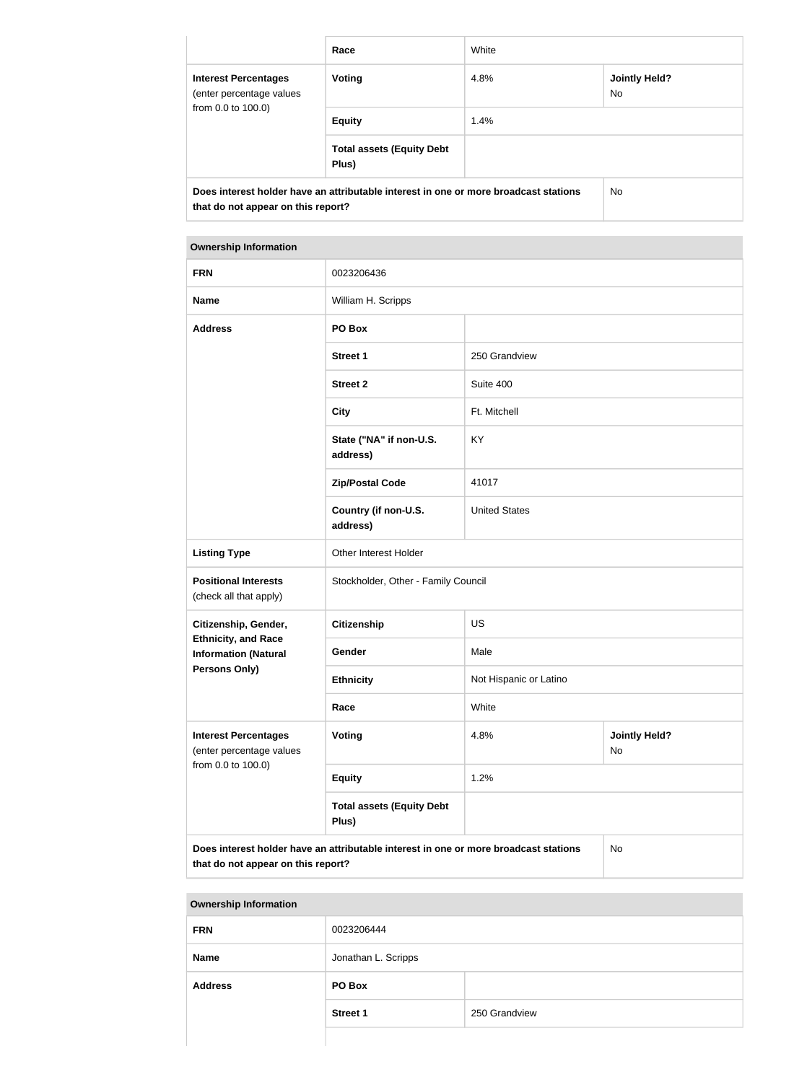|                                                                                                                            | Race                                      | White |                             |
|----------------------------------------------------------------------------------------------------------------------------|-------------------------------------------|-------|-----------------------------|
| <b>Interest Percentages</b><br>(enter percentage values<br>from 0.0 to 100.0)                                              | Voting                                    | 4.8%  | <b>Jointly Held?</b><br>No. |
|                                                                                                                            | <b>Equity</b>                             | 1.4%  |                             |
|                                                                                                                            | <b>Total assets (Equity Debt</b><br>Plus) |       |                             |
| Does interest holder have an attributable interest in one or more broadcast stations<br>that do not appear on this report? |                                           | No    |                             |

|                                                                                                                                  | <b>Ownership Information</b>              |                                    |  |  |
|----------------------------------------------------------------------------------------------------------------------------------|-------------------------------------------|------------------------------------|--|--|
| <b>FRN</b>                                                                                                                       | 0023206436                                |                                    |  |  |
| <b>Name</b>                                                                                                                      | William H. Scripps                        |                                    |  |  |
| <b>Address</b>                                                                                                                   | PO Box                                    |                                    |  |  |
|                                                                                                                                  | <b>Street 1</b>                           | 250 Grandview                      |  |  |
|                                                                                                                                  | <b>Street 2</b>                           | Suite 400                          |  |  |
|                                                                                                                                  | <b>City</b>                               | Ft. Mitchell                       |  |  |
|                                                                                                                                  | State ("NA" if non-U.S.<br>address)       | <b>KY</b>                          |  |  |
|                                                                                                                                  | <b>Zip/Postal Code</b>                    | 41017                              |  |  |
|                                                                                                                                  | Country (if non-U.S.<br>address)          | <b>United States</b>               |  |  |
| <b>Listing Type</b>                                                                                                              | Other Interest Holder                     |                                    |  |  |
| <b>Positional Interests</b><br>(check all that apply)                                                                            | Stockholder, Other - Family Council       |                                    |  |  |
| Citizenship, Gender,                                                                                                             | <b>Citizenship</b>                        | <b>US</b>                          |  |  |
| <b>Ethnicity, and Race</b><br><b>Information (Natural</b>                                                                        | Gender                                    | Male                               |  |  |
| Persons Only)                                                                                                                    | <b>Ethnicity</b>                          | Not Hispanic or Latino             |  |  |
|                                                                                                                                  | Race                                      | White                              |  |  |
| <b>Interest Percentages</b><br>(enter percentage values                                                                          | Voting                                    | 4.8%<br><b>Jointly Held?</b><br>No |  |  |
| from 0.0 to 100.0)                                                                                                               | <b>Equity</b>                             | 1.2%                               |  |  |
|                                                                                                                                  | <b>Total assets (Equity Debt</b><br>Plus) |                                    |  |  |
| Does interest holder have an attributable interest in one or more broadcast stations<br>No<br>that do not appear on this report? |                                           |                                    |  |  |

n.

| <b>FRN</b>     | 0023206444          |               |
|----------------|---------------------|---------------|
| <b>Name</b>    | Jonathan L. Scripps |               |
| <b>Address</b> | PO Box              |               |
|                | <b>Street 1</b>     | 250 Grandview |
|                |                     |               |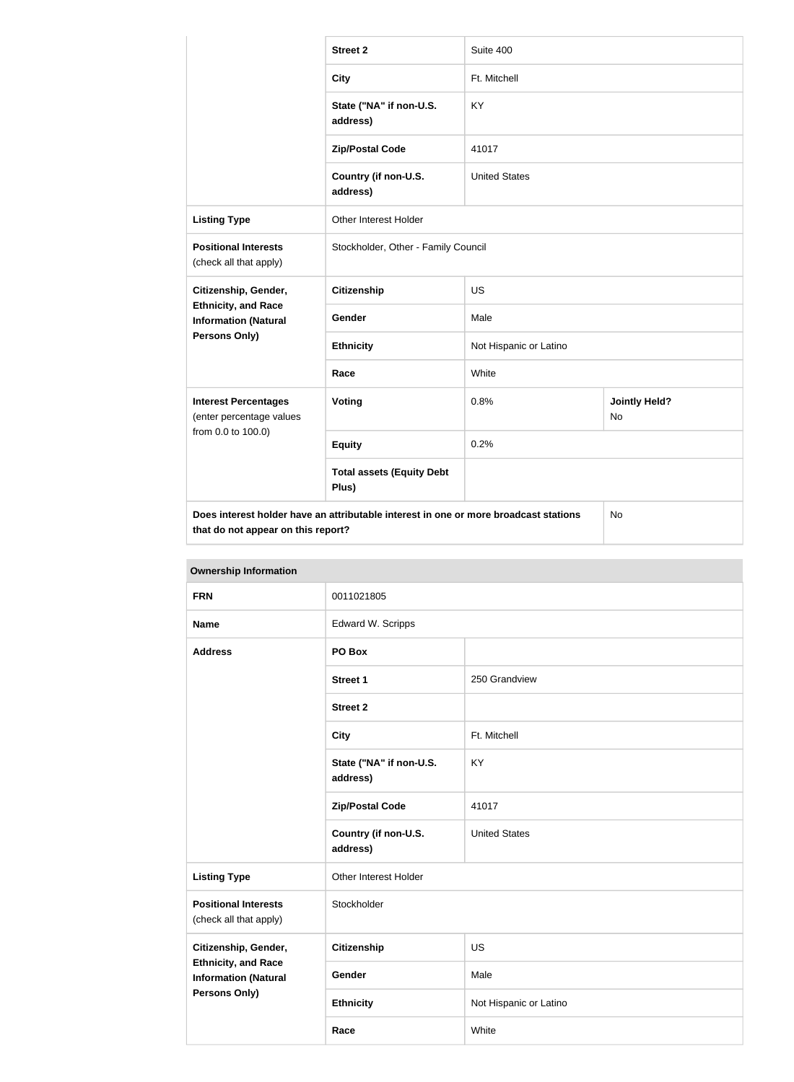|                                                                               | <b>Street 2</b>                                                                      | Suite 400              |                            |
|-------------------------------------------------------------------------------|--------------------------------------------------------------------------------------|------------------------|----------------------------|
|                                                                               | <b>City</b>                                                                          | Ft. Mitchell           |                            |
|                                                                               | State ("NA" if non-U.S.<br>address)                                                  | KY                     |                            |
|                                                                               | <b>Zip/Postal Code</b>                                                               | 41017                  |                            |
|                                                                               | Country (if non-U.S.<br>address)                                                     | <b>United States</b>   |                            |
| <b>Listing Type</b>                                                           | Other Interest Holder                                                                |                        |                            |
| <b>Positional Interests</b><br>(check all that apply)                         | Stockholder, Other - Family Council                                                  |                        |                            |
| Citizenship, Gender,                                                          | Citizenship                                                                          | <b>US</b>              |                            |
| <b>Ethnicity, and Race</b><br><b>Information (Natural</b>                     | Gender                                                                               | Male                   |                            |
| <b>Persons Only)</b>                                                          | <b>Ethnicity</b>                                                                     | Not Hispanic or Latino |                            |
|                                                                               | Race                                                                                 | White                  |                            |
| <b>Interest Percentages</b><br>(enter percentage values<br>from 0.0 to 100.0) | Voting                                                                               | 0.8%                   | <b>Jointly Held?</b><br>No |
|                                                                               | <b>Equity</b>                                                                        | 0.2%                   |                            |
|                                                                               | <b>Total assets (Equity Debt</b><br>Plus)                                            |                        |                            |
| that do not appear on this report?                                            | Does interest holder have an attributable interest in one or more broadcast stations |                        | No                         |

| <b>Ownership Information</b>                                                                              |                                     |                        |  |
|-----------------------------------------------------------------------------------------------------------|-------------------------------------|------------------------|--|
| <b>FRN</b>                                                                                                | 0011021805                          |                        |  |
| <b>Name</b>                                                                                               | Edward W. Scripps                   |                        |  |
| <b>Address</b>                                                                                            | PO Box                              |                        |  |
|                                                                                                           | <b>Street 1</b>                     | 250 Grandview          |  |
|                                                                                                           | <b>Street 2</b>                     |                        |  |
|                                                                                                           | <b>City</b>                         | Ft. Mitchell           |  |
|                                                                                                           | State ("NA" if non-U.S.<br>address) | KY                     |  |
|                                                                                                           | <b>Zip/Postal Code</b>              | 41017                  |  |
|                                                                                                           | Country (if non-U.S.<br>address)    | <b>United States</b>   |  |
| <b>Listing Type</b>                                                                                       | Other Interest Holder               |                        |  |
| <b>Positional Interests</b><br>(check all that apply)                                                     | Stockholder                         |                        |  |
| Citizenship, Gender,<br><b>Ethnicity, and Race</b><br><b>Information (Natural</b><br><b>Persons Only)</b> | <b>Citizenship</b>                  | <b>US</b>              |  |
|                                                                                                           | Gender                              | Male                   |  |
|                                                                                                           | <b>Ethnicity</b>                    | Not Hispanic or Latino |  |

**Race** White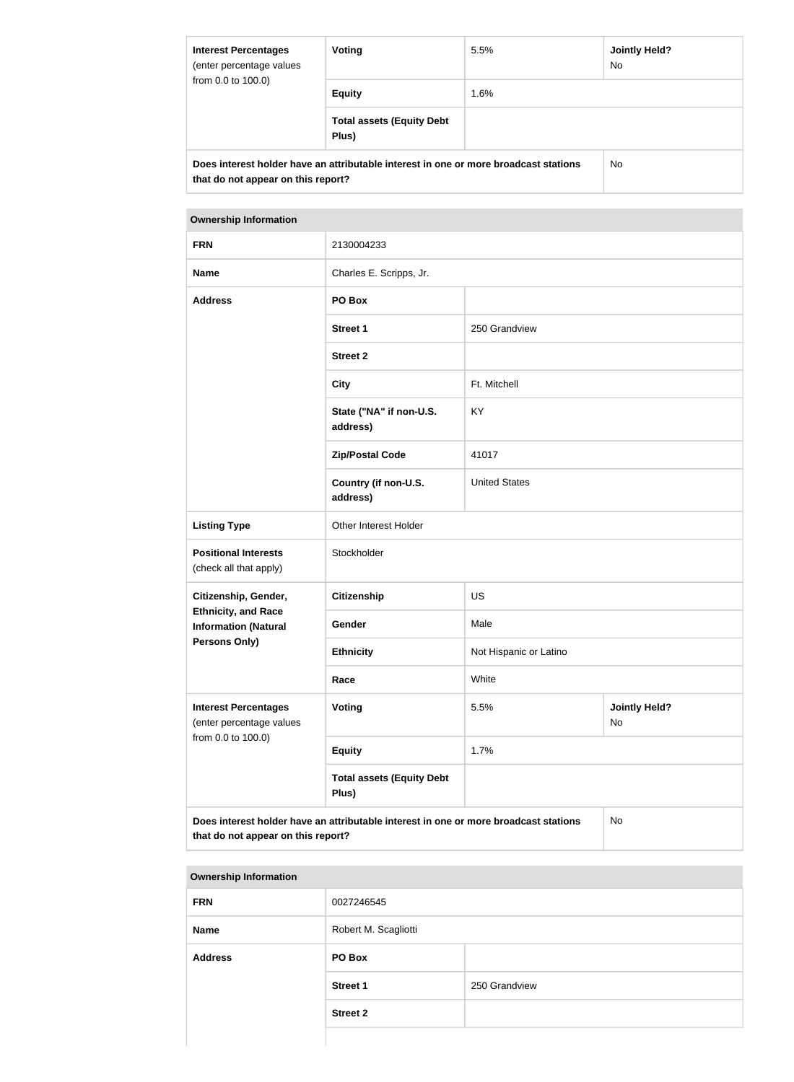| <b>Interest Percentages</b><br>(enter percentage values<br>from 0.0 to 100.0)                                              | Voting                                    | Jointly Held?<br>5.5%<br>No. |     |  |
|----------------------------------------------------------------------------------------------------------------------------|-------------------------------------------|------------------------------|-----|--|
|                                                                                                                            | <b>Equity</b>                             | 1.6%                         |     |  |
|                                                                                                                            | <b>Total assets (Equity Debt</b><br>Plus) |                              |     |  |
| Does interest holder have an attributable interest in one or more broadcast stations<br>that do not appear on this report? |                                           |                              | No. |  |

| <b>FRN</b>                                                                                                                       | 2130004233                                |                                    |  |  |
|----------------------------------------------------------------------------------------------------------------------------------|-------------------------------------------|------------------------------------|--|--|
| <b>Name</b>                                                                                                                      | Charles E. Scripps, Jr.                   |                                    |  |  |
| <b>Address</b>                                                                                                                   | PO Box                                    |                                    |  |  |
|                                                                                                                                  | <b>Street 1</b>                           | 250 Grandview                      |  |  |
|                                                                                                                                  | <b>Street 2</b>                           |                                    |  |  |
|                                                                                                                                  | <b>City</b>                               | Ft. Mitchell                       |  |  |
|                                                                                                                                  | State ("NA" if non-U.S.<br>address)       | KY                                 |  |  |
|                                                                                                                                  | <b>Zip/Postal Code</b>                    | 41017                              |  |  |
|                                                                                                                                  | Country (if non-U.S.<br>address)          | <b>United States</b>               |  |  |
| <b>Listing Type</b>                                                                                                              | Other Interest Holder                     |                                    |  |  |
| <b>Positional Interests</b><br>(check all that apply)                                                                            | Stockholder                               |                                    |  |  |
| Citizenship, Gender,                                                                                                             | <b>Citizenship</b>                        | <b>US</b>                          |  |  |
| <b>Ethnicity, and Race</b><br><b>Information (Natural</b>                                                                        | Gender                                    | Male                               |  |  |
| <b>Persons Only)</b>                                                                                                             | <b>Ethnicity</b>                          | Not Hispanic or Latino             |  |  |
|                                                                                                                                  | Race                                      | White                              |  |  |
| <b>Interest Percentages</b><br>(enter percentage values<br>from 0.0 to 100.0)                                                    | Voting                                    | 5.5%<br><b>Jointly Held?</b><br>No |  |  |
|                                                                                                                                  | <b>Equity</b>                             | 1.7%                               |  |  |
|                                                                                                                                  | <b>Total assets (Equity Debt</b><br>Plus) |                                    |  |  |
| Does interest holder have an attributable interest in one or more broadcast stations<br>No<br>that do not appear on this report? |                                           |                                    |  |  |

| <b>Ownership Information</b> |                      |               |  |
|------------------------------|----------------------|---------------|--|
| <b>FRN</b>                   | 0027246545           |               |  |
| <b>Name</b>                  | Robert M. Scagliotti |               |  |
| <b>Address</b>               | PO Box               |               |  |
|                              | <b>Street 1</b>      | 250 Grandview |  |
|                              | <b>Street 2</b>      |               |  |
|                              |                      |               |  |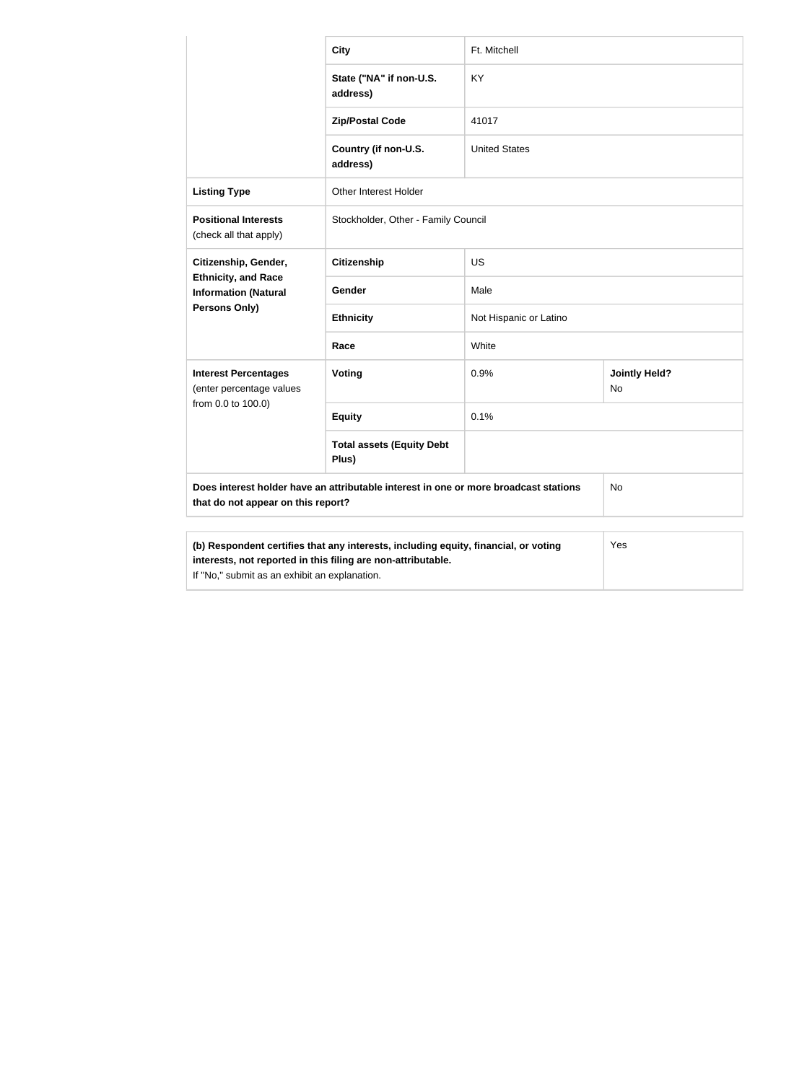|                                                                                                                                                                                                      | <b>City</b>                               | Ft. Mitchell           |                            |
|------------------------------------------------------------------------------------------------------------------------------------------------------------------------------------------------------|-------------------------------------------|------------------------|----------------------------|
|                                                                                                                                                                                                      | State ("NA" if non-U.S.<br>address)       | KY                     |                            |
|                                                                                                                                                                                                      | <b>Zip/Postal Code</b>                    | 41017                  |                            |
|                                                                                                                                                                                                      | Country (if non-U.S.<br>address)          | <b>United States</b>   |                            |
| <b>Listing Type</b>                                                                                                                                                                                  | Other Interest Holder                     |                        |                            |
| <b>Positional Interests</b><br>(check all that apply)                                                                                                                                                | Stockholder, Other - Family Council       |                        |                            |
| Citizenship, Gender,<br><b>Ethnicity, and Race</b><br><b>Information (Natural</b>                                                                                                                    | <b>Citizenship</b>                        | <b>US</b>              |                            |
|                                                                                                                                                                                                      | Gender                                    | Male                   |                            |
| Persons Only)                                                                                                                                                                                        | <b>Ethnicity</b>                          | Not Hispanic or Latino |                            |
|                                                                                                                                                                                                      | Race                                      | White                  |                            |
| <b>Interest Percentages</b><br>(enter percentage values                                                                                                                                              | Voting                                    | 0.9%                   | <b>Jointly Held?</b><br>No |
| from 0.0 to 100.0)                                                                                                                                                                                   | <b>Equity</b>                             | 0.1%                   |                            |
|                                                                                                                                                                                                      | <b>Total assets (Equity Debt</b><br>Plus) |                        |                            |
| Does interest holder have an attributable interest in one or more broadcast stations<br>No<br>that do not appear on this report?                                                                     |                                           |                        |                            |
| (b) Respondent certifies that any interests, including equity, financial, or voting<br>interests, not reported in this filing are non-attributable.<br>If "No," submit as an exhibit an explanation. |                                           |                        | Yes                        |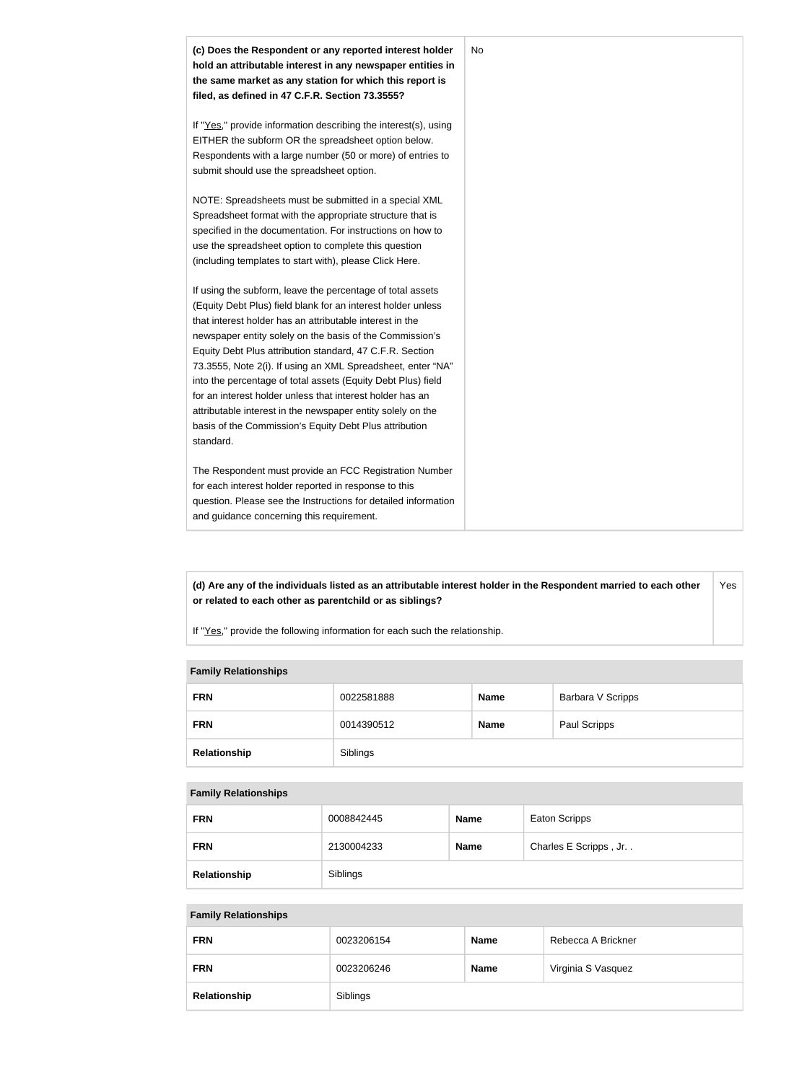

**(d) Are any of the individuals listed as an attributable interest holder in the Respondent married to each other or related to each other as parentchild or as siblings?** Yes

If "Yes," provide the following information for each such the relationship.

#### **Family Relationships**

| <b>FRN</b>   | 0022581888 | <b>Name</b> | Barbara V Scripps |
|--------------|------------|-------------|-------------------|
| <b>FRN</b>   | 0014390512 | <b>Name</b> | Paul Scripps      |
| Relationship | Siblings   |             |                   |

#### **Family Relationships**

| <b>FRN</b>   | 0008842445 | <b>Name</b> | Eaton Scripps         |
|--------------|------------|-------------|-----------------------|
| <b>FRN</b>   | 2130004233 | <b>Name</b> | Charles E Scripps, Jr |
| Relationship | Siblings   |             |                       |

#### **Family Relationships**

| <b>FRN</b>   | 0023206154 | <b>Name</b> | Rebecca A Brickner |
|--------------|------------|-------------|--------------------|
| <b>FRN</b>   | 0023206246 | <b>Name</b> | Virginia S Vasquez |
| Relationship | Siblings   |             |                    |